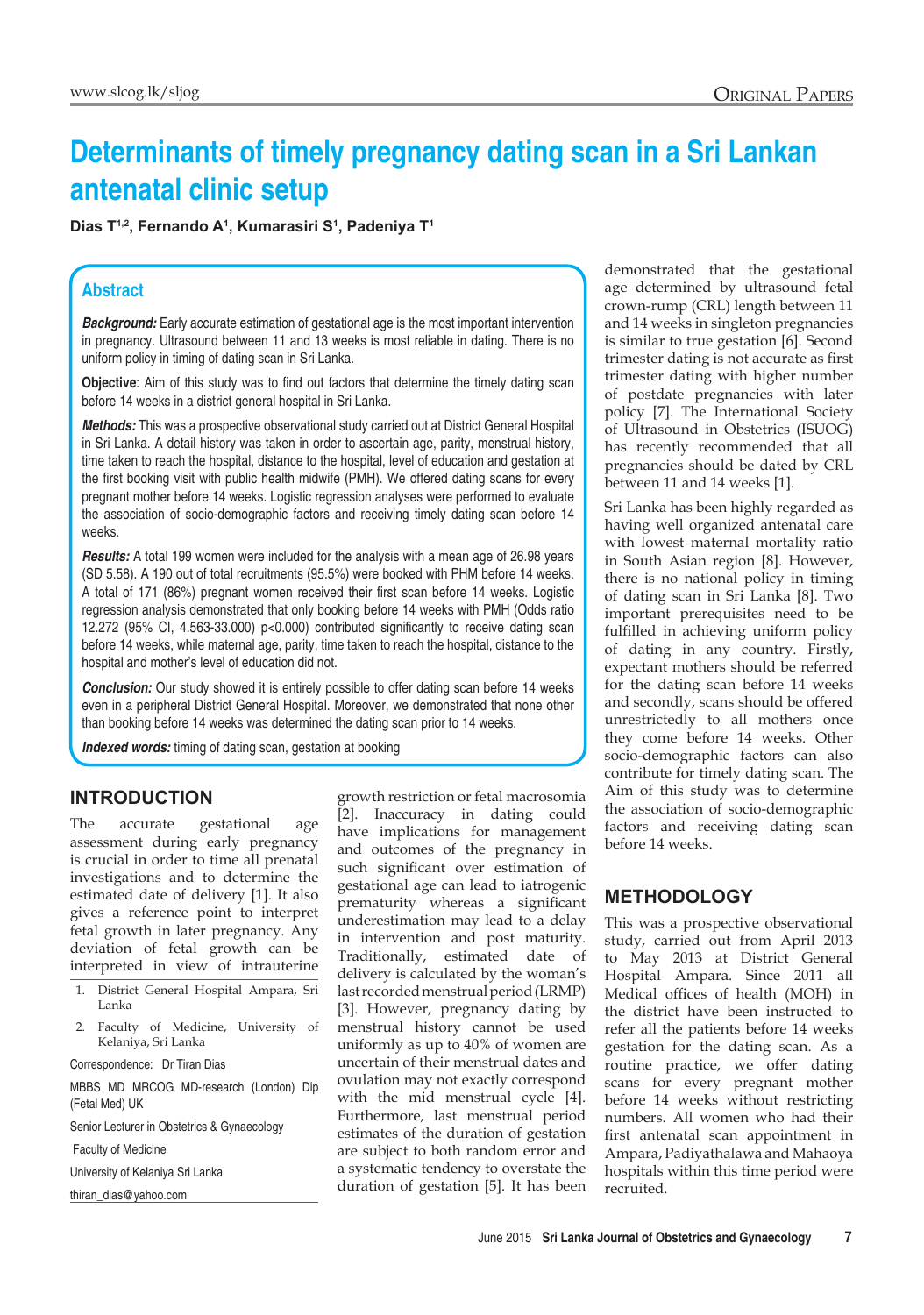# **Determinants of timely pregnancy dating scan in a Sri Lankan antenatal clinic setup**

**Dias T1,2, Fernando A1 , Kumarasiri S1 , Padeniya T1**

## **Abstract**

**Background:** Early accurate estimation of gestational age is the most important intervention in pregnancy. Ultrasound between 11 and 13 weeks is most reliable in dating. There is no uniform policy in timing of dating scan in Sri Lanka.

**Objective**: Aim of this study was to find out factors that determine the timely dating scan before 14 weeks in a district general hospital in Sri Lanka.

*Methods:* This was a prospective observational study carried out at District General Hospital in Sri Lanka. A detail history was taken in order to ascertain age, parity, menstrual history, time taken to reach the hospital, distance to the hospital, level of education and gestation at the first booking visit with public health midwife (PMH). We offered dating scans for every pregnant mother before 14 weeks. Logistic regression analyses were performed to evaluate the association of socio-demographic factors and receiving timely dating scan before 14 weeks.

*Results:* A total 199 women were included for the analysis with a mean age of 26.98 years (SD 5.58). A 190 out of total recruitments (95.5%) were booked with PHM before 14 weeks. A total of 171 (86%) pregnant women received their first scan before 14 weeks. Logistic regression analysis demonstrated that only booking before 14 weeks with PMH (Odds ratio 12.272 (95% CI, 4.563-33.000) p<0.000) contributed significantly to receive dating scan before 14 weeks, while maternal age, parity, time taken to reach the hospital, distance to the hospital and mother's level of education did not.

**Conclusion:** Our study showed it is entirely possible to offer dating scan before 14 weeks even in a peripheral District General Hospital. Moreover, we demonstrated that none other than booking before 14 weeks was determined the dating scan prior to 14 weeks.

*Indexed words:* timing of dating scan, gestation at booking

# **INTRODUCTION**

The accurate gestational age assessment during early pregnancy is crucial in order to time all prenatal investigations and to determine the estimated date of delivery [1]. It also gives a reference point to interpret fetal growth in later pregnancy. Any deviation of fetal growth can be interpreted in view of intrauterine

- 1. District General Hospital Ampara, Sri Lanka
- 2. Faculty of Medicine, University of Kelaniya, Sri Lanka
- Correspondence: Dr Tiran Dias

MBBS MD MRCOG MD-research (London) Dip (Fetal Med) UK

Senior Lecturer in Obstetrics & Gynaecology

- Faculty of Medicine
- University of Kelaniya Sri Lanka

thiran\_dias@yahoo.com

growth restriction or fetal macrosomia [2]. Inaccuracy in dating could have implications for management and outcomes of the pregnancy in such significant over estimation of gestational age can lead to iatrogenic prematurity whereas a significant underestimation may lead to a delay in intervention and post maturity. Traditionally, estimated date of delivery is calculated by the woman's last recorded menstrual period (LRMP) [3]. However, pregnancy dating by menstrual history cannot be used uniformly as up to 40% of women are uncertain of their menstrual dates and ovulation may not exactly correspond with the mid menstrual cycle [4]. Furthermore, last menstrual period estimates of the duration of gestation are subject to both random error and a systematic tendency to overstate the duration of gestation [5]. It has been demonstrated that the gestational age determined by ultrasound fetal crown-rump (CRL) length between 11 and 14 weeks in singleton pregnancies is similar to true gestation [6]. Second trimester dating is not accurate as first trimester dating with higher number of postdate pregnancies with later policy [7]. The International Society of Ultrasound in Obstetrics (ISUOG) has recently recommended that all pregnancies should be dated by CRL between 11 and 14 weeks [1].

Sri Lanka has been highly regarded as having well organized antenatal care with lowest maternal mortality ratio in South Asian region [8]. However, there is no national policy in timing of dating scan in Sri Lanka [8]. Two important prerequisites need to be fulfilled in achieving uniform policy of dating in any country. Firstly, expectant mothers should be referred for the dating scan before 14 weeks and secondly, scans should be offered unrestrictedly to all mothers once they come before 14 weeks. Other socio-demographic factors can also contribute for timely dating scan. The Aim of this study was to determine the association of socio-demographic factors and receiving dating scan before 14 weeks.

# **METHODOLOGY**

This was a prospective observational study, carried out from April 2013 to May 2013 at District General Hospital Ampara. Since 2011 all Medical offices of health (MOH) in the district have been instructed to refer all the patients before 14 weeks gestation for the dating scan. As a routine practice, we offer dating scans for every pregnant mother before 14 weeks without restricting numbers. All women who had their first antenatal scan appointment in Ampara, Padiyathalawa and Mahaoya hospitals within this time period were recruited.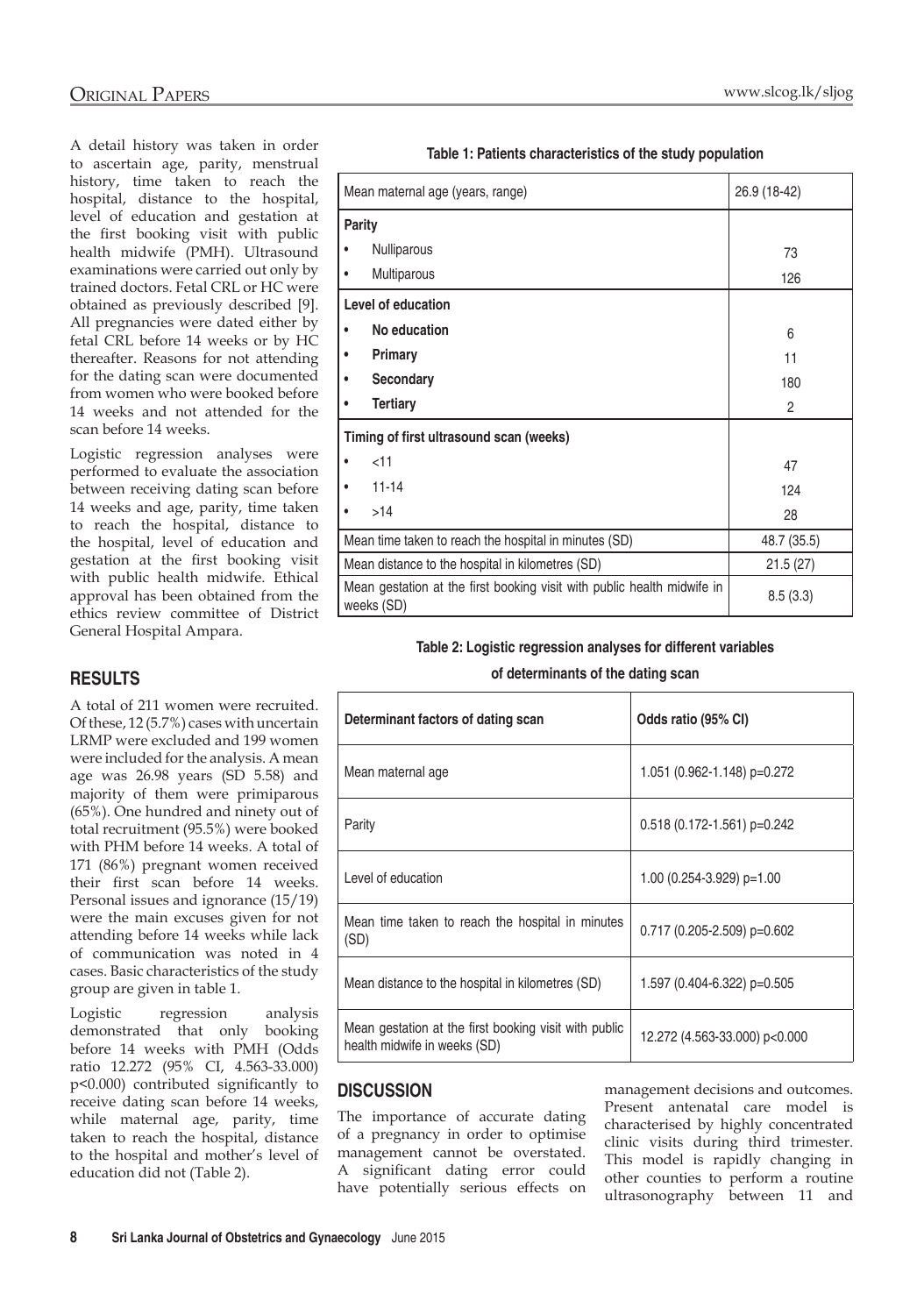A detail history was taken in order to ascertain age, parity, menstrual history, time taken to reach the hospital, distance to the hospital, level of education and gestation at the first booking visit with public health midwife (PMH). Ultrasound examinations were carried out only by trained doctors. Fetal CRL or HC were obtained as previously described [9]. All pregnancies were dated either by fetal CRL before 14 weeks or by HC thereafter. Reasons for not attending for the dating scan were documented from women who were booked before 14 weeks and not attended for the scan before 14 weeks.

Logistic regression analyses were performed to evaluate the association between receiving dating scan before 14 weeks and age, parity, time taken to reach the hospital, distance to the hospital, level of education and gestation at the first booking visit with public health midwife. Ethical approval has been obtained from the ethics review committee of District General Hospital Ampara.

## **RESULTS**

A total of 211 women were recruited. Of these, 12 (5.7%) cases with uncertain LRMP were excluded and 199 women were included for the analysis. A mean age was 26.98 years (SD 5.58) and majority of them were primiparous (65%). One hundred and ninety out of total recruitment (95.5%) were booked with PHM before 14 weeks. A total of 171 (86%) pregnant women received their first scan before 14 weeks. Personal issues and ignorance (15/19) were the main excuses given for not attending before 14 weeks while lack of communication was noted in 4 cases. Basic characteristics of the study group are given in table 1.

Logistic regression analysis demonstrated that only booking before 14 weeks with PMH (Odds ratio 12.272 (95% CI, 4.563-33.000) p<0.000) contributed significantly to receive dating scan before 14 weeks, while maternal age, parity, time taken to reach the hospital, distance to the hospital and mother's level of education did not (Table 2).

#### **Table 1: Patients characteristics of the study population**

| Mean maternal age (years, range)                                                      | 26.9 (18-42)   |  |
|---------------------------------------------------------------------------------------|----------------|--|
| <b>Parity</b>                                                                         |                |  |
| <b>Nulliparous</b><br>٠                                                               | 73             |  |
| Multiparous                                                                           | 126            |  |
| Level of education                                                                    |                |  |
| No education<br>٠                                                                     | 6              |  |
| <b>Primary</b>                                                                        | 11             |  |
| <b>Secondary</b>                                                                      | 180            |  |
| <b>Tertiary</b><br>$\bullet$                                                          | $\overline{2}$ |  |
| Timing of first ultrasound scan (weeks)                                               |                |  |
| $<$ 11<br>٠                                                                           | 47             |  |
| $11 - 14$<br>$\bullet$                                                                | 124            |  |
| >14<br>٠                                                                              | 28             |  |
| Mean time taken to reach the hospital in minutes (SD)                                 | 48.7 (35.5)    |  |
| Mean distance to the hospital in kilometres (SD)                                      | 21.5(27)       |  |
| Mean gestation at the first booking visit with public health midwife in<br>weeks (SD) | 8.5(3.3)       |  |

#### **Table 2: Logistic regression analyses for different variables**

**of determinants of the dating scan**

| Determinant factors of dating scan                                                    | Odds ratio (95% CI)            |
|---------------------------------------------------------------------------------------|--------------------------------|
| Mean maternal age                                                                     | 1.051 (0.962-1.148) p=0.272    |
| Parity                                                                                | $0.518$ (0.172-1.561) p=0.242  |
| Level of education                                                                    | $1.00$ (0.254-3.929) p=1.00    |
| Mean time taken to reach the hospital in minutes<br>(SD)                              | $0.717(0.205 - 2.509)$ p=0.602 |
| Mean distance to the hospital in kilometres (SD)                                      | 1.597 (0.404-6.322) p=0.505    |
| Mean gestation at the first booking visit with public<br>health midwife in weeks (SD) | 12.272 (4.563-33.000) p<0.000  |

## **DISCUSSION**

The importance of accurate dating of a pregnancy in order to optimise management cannot be overstated. A significant dating error could have potentially serious effects on

management decisions and outcomes. Present antenatal care model is characterised by highly concentrated clinic visits during third trimester. This model is rapidly changing in other counties to perform a routine ultrasonography between 11 and